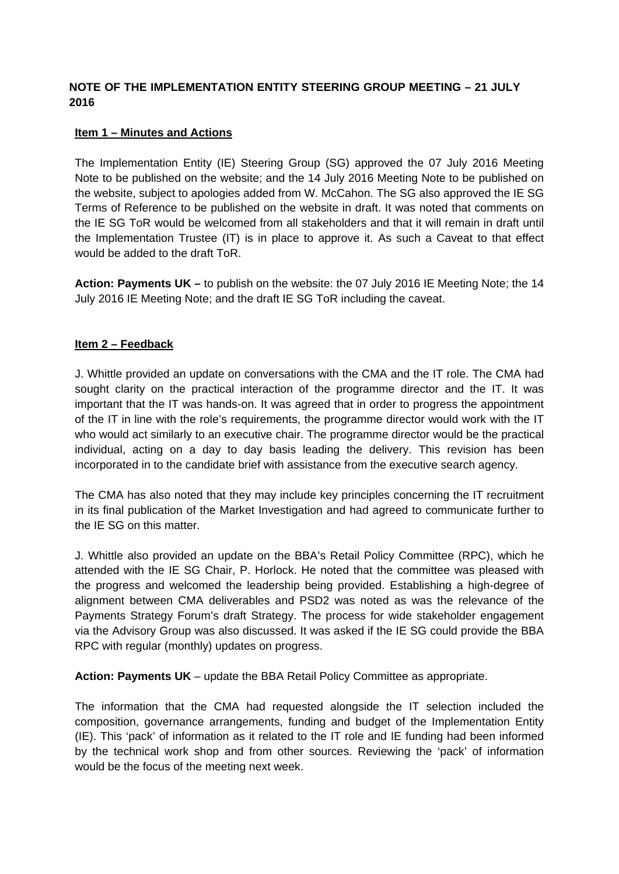# **NOTE OF THE IMPLEMENTATION ENTITY STEERING GROUP MEETING – 21 JULY 2016**

## **Item 1 – Minutes and Actions**

The Implementation Entity (IE) Steering Group (SG) approved the 07 July 2016 Meeting Note to be published on the website; and the 14 July 2016 Meeting Note to be published on the website, subject to apologies added from W. McCahon. The SG also approved the IE SG Terms of Reference to be published on the website in draft. It was noted that comments on the IE SG ToR would be welcomed from all stakeholders and that it will remain in draft until the Implementation Trustee (IT) is in place to approve it. As such a Caveat to that effect would be added to the draft ToR.

**Action: Payments UK –** to publish on the website: the 07 July 2016 IE Meeting Note; the 14 July 2016 IE Meeting Note; and the draft IE SG ToR including the caveat.

## **Item 2 – Feedback**

J. Whittle provided an update on conversations with the CMA and the IT role. The CMA had sought clarity on the practical interaction of the programme director and the IT. It was important that the IT was hands-on. It was agreed that in order to progress the appointment of the IT in line with the role's requirements, the programme director would work with the IT who would act similarly to an executive chair. The programme director would be the practical individual, acting on a day to day basis leading the delivery. This revision has been incorporated in to the candidate brief with assistance from the executive search agency.

The CMA has also noted that they may include key principles concerning the IT recruitment in its final publication of the Market Investigation and had agreed to communicate further to the IE SG on this matter.

J. Whittle also provided an update on the BBA's Retail Policy Committee (RPC), which he attended with the IE SG Chair, P. Horlock. He noted that the committee was pleased with the progress and welcomed the leadership being provided. Establishing a high-degree of alignment between CMA deliverables and PSD2 was noted as was the relevance of the Payments Strategy Forum's draft Strategy. The process for wide stakeholder engagement via the Advisory Group was also discussed. It was asked if the IE SG could provide the BBA RPC with regular (monthly) updates on progress.

**Action: Payments UK** – update the BBA Retail Policy Committee as appropriate.

The information that the CMA had requested alongside the IT selection included the composition, governance arrangements, funding and budget of the Implementation Entity (IE). This 'pack' of information as it related to the IT role and IE funding had been informed by the technical work shop and from other sources. Reviewing the 'pack' of information would be the focus of the meeting next week.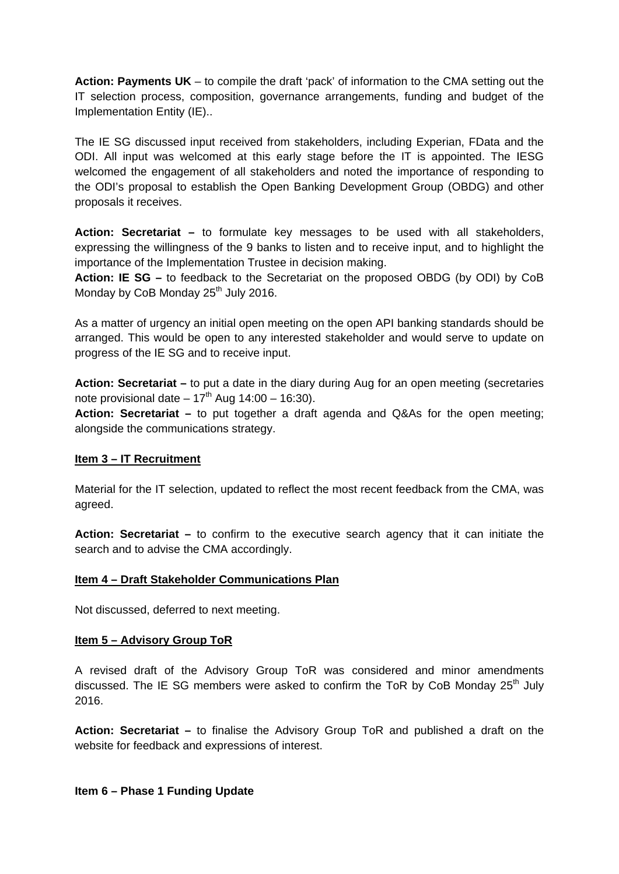**Action: Payments UK** – to compile the draft 'pack' of information to the CMA setting out the IT selection process, composition, governance arrangements, funding and budget of the Implementation Entity (IE)..

The IE SG discussed input received from stakeholders, including Experian, FData and the ODI. All input was welcomed at this early stage before the IT is appointed. The IESG welcomed the engagement of all stakeholders and noted the importance of responding to the ODI's proposal to establish the Open Banking Development Group (OBDG) and other proposals it receives.

**Action: Secretariat –** to formulate key messages to be used with all stakeholders, expressing the willingness of the 9 banks to listen and to receive input, and to highlight the importance of the Implementation Trustee in decision making.

**Action: IE SG –** to feedback to the Secretariat on the proposed OBDG (by ODI) by CoB Monday by CoB Monday 25<sup>th</sup> July 2016.

As a matter of urgency an initial open meeting on the open API banking standards should be arranged. This would be open to any interested stakeholder and would serve to update on progress of the IE SG and to receive input.

**Action: Secretariat –** to put a date in the diary during Aug for an open meeting (secretaries note provisional date  $-17<sup>th</sup>$  Aug 14:00 – 16:30).

**Action: Secretariat –** to put together a draft agenda and Q&As for the open meeting; alongside the communications strategy.

### **Item 3 – IT Recruitment**

Material for the IT selection, updated to reflect the most recent feedback from the CMA, was agreed.

**Action: Secretariat –** to confirm to the executive search agency that it can initiate the search and to advise the CMA accordingly.

### **Item 4 – Draft Stakeholder Communications Plan**

Not discussed, deferred to next meeting.

#### **Item 5 – Advisory Group ToR**

A revised draft of the Advisory Group ToR was considered and minor amendments discussed. The IE SG members were asked to confirm the ToR by CoB Monday  $25<sup>th</sup>$  July 2016.

**Action: Secretariat –** to finalise the Advisory Group ToR and published a draft on the website for feedback and expressions of interest.

#### **Item 6 – Phase 1 Funding Update**